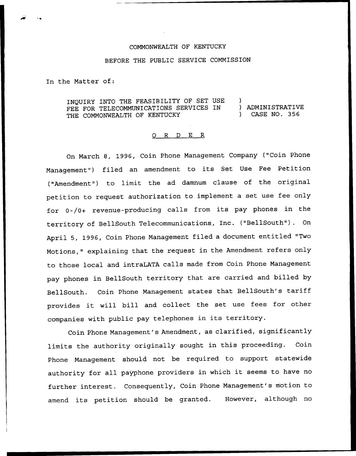## COMMONWEALTH OF KENTUCKY

## BEFORE THE PUBLIC SERVICE COMMISSION

In the Matter of:

INQUIRY INTO THE FEASIBILITY OF SET USE )<br>FEE FOR TELECOMMUNICATIONS SERVICES IN ) ADMINISTRATIVE FEE FOR TELECOMMUNICATIONS SERVICES IN (ADMINISTRATIVE)<br>THE COMMONWEALTH OF KENTUCKY (ASE NO. 356 THE COMMONWEALTH OF KENTUCKY

## 0 R <sup>D</sup> E R

On March 8, l996, Coin Phone Management Company ("Coin Phone Management") filed an amendment to its Set Use Fee Petition ("Amendment") to limit the ad damnum clause of the original petition to request authorization to implement <sup>a</sup> set use fee only for 0-/0+ revenue-producing calls from its pay phones in the territory of BellSouth Telecommunications, Inc. ("BellSouth"). On April 5, 1996, Coin Phone Management filed <sup>a</sup> document entitled "Two Motions," explaining that the request in the Amendment refers only to those local and intraLATA calls made from Coin Phone Management pay phones in BellSouth territory that are carried and billed by BellSouth. Coin Phone Management states that BellSouth's tariff provides it will bill and collect the set use fees for other companies with public pay telephones in its territory.

Coin Phone Management's Amendment, as clarified, significantly limits the authority originally sought in this proceeding. Coin Phone Management should not be required to support statewide authority for all payphone providers in which it seems to have no further interest. Consequently, Coin Phone Management's motion to amend its petition should be granted. However, although no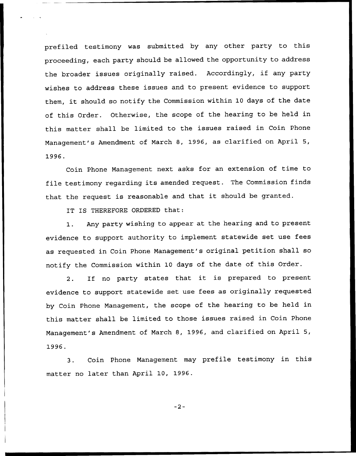prefiled testimony was submitted by any other party to this proceeding, each party should be allowed the opportunity to address the broader issues originally raised. Accordingly, if any party wishes to address these issues and to present evidence to support them, it should so notify the Commission within <sup>10</sup> days of the date of this Order. Otherwise, the scope of the hearing to be held in this matter shall be limited to the issues raised in Coin Phone Management's Amendment of March 8, 1996, as clarified on April 5, 1996.

Coin Phone Management next asks for an extension of time to file testimony regarding its amended request. The Commission finds that the request is reasonable and that it should be granted.

IT IS THEREFORE ORDERED that:

1. Any party wishing to appear at the hearing and to present evidence to support authority to implement statewide set use fees as requested in Coin Phone Management's original petition shall so notify the Commission within 10 days of the date of this Order.

2. If no party states that it is prepared to present evidence to support statewide set use fees as originally requested by Coin Phone Management, the scope of the hearing to be held in this matter shall be limited to those issues raised in Coin Phone Management's Amendment of March 8, 1996, and clarified on April 5, 1996.

Coin Phone Management may prefile testimony in this  $3.$ matter no later than April 10, 1996.

 $-2-$